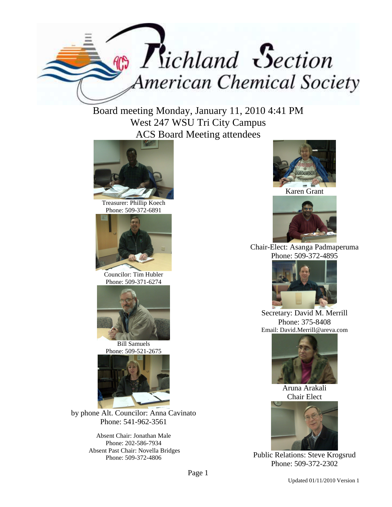

Board meeting Monday, January 11, 2010 4:41 PM West 247 WSU Tri City Campus ACS Board Meeting attendees



Treasurer: Phillip Koech Phone: 509-372-6891



Councilor: Tim Hubler Phone: 509-371-6274



Bill Samuels Phone: 509-521-2675



by phone Alt. Councilor: Anna Cavinato Phone: 541-962-3561

> Absent Chair: Jonathan Male Phone: 202-586-7934 Absent Past Chair: Novella Bridges Phone: 509-372-4806



Karen Grant



Chair-Elect: Asanga Padmaperuma Phone: 509-372-4895



Secretary: David M. Merrill Phone: 375-8408 Email: David.Merrill@areva.com



Aruna Arakali Chair Elect



Public Relations: Steve Krogsrud Phone: 509-372-2302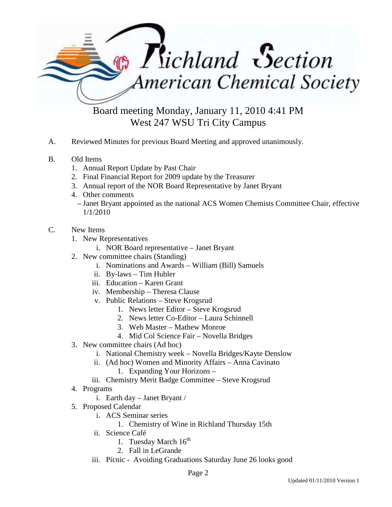

Board meeting Monday, January 11, 2010 4:41 PM West 247 WSU Tri City Campus

- A. Reviewed Minutes for previous Board Meeting and approved unanimously.
- B. Old Items
	- 1. Annual Report Update by Past Chair
	- 2. Final Financial Report for 2009 update by the Treasurer
	- 3. Annual report of the NOR Board Representative by Janet Bryant
	- 4. Other comments
		- Janet Bryant appointed as the national ACS Women Chemists Committee Chair, effective 1/1/2010
- C. New Items
	- 1. New Representatives
		- i. NOR Board representative Janet Bryant
	- 2. New committee chairs (Standing)
		- i. Nominations and Awards William (Bill) Samuels
		- ii. By-laws Tim Hubler
		- iii. Education Karen Grant
		- iv. Membership Theresa Clause
		- v. Public Relations Steve Krogsrud
			- 1. News letter Editor Steve Krogsrud
			- 2. News letter Co-Editor Laura Schinnell
			- 3. Web Master Mathew Monroe
			- 4. Mid Col Science Fair Novella Bridges
	- 3. New committee chairs (Ad hoc)
		- i. National Chemistry week Novella Bridges/Kayte Denslow
		- ii. (Ad hoc) Women and Minority Affairs Anna Cavinato
			- 1. Expanding Your Horizons –
		- iii. Chemistry Merit Badge Committee Steve Krogsrud
	- 4. Programs
		- i. Earth day Janet Bryant /
	- 5. Proposed Calendar
		- i. ACS Seminar series
			- 1. Chemistry of Wine in Richland Thursday 15th
		- ii. Science Café
			- 1. Tuesday March  $16^{th}$
			- 2. Fall in LeGrande
		- iii. Picnic Avoiding Graduations Saturday June 26 looks good